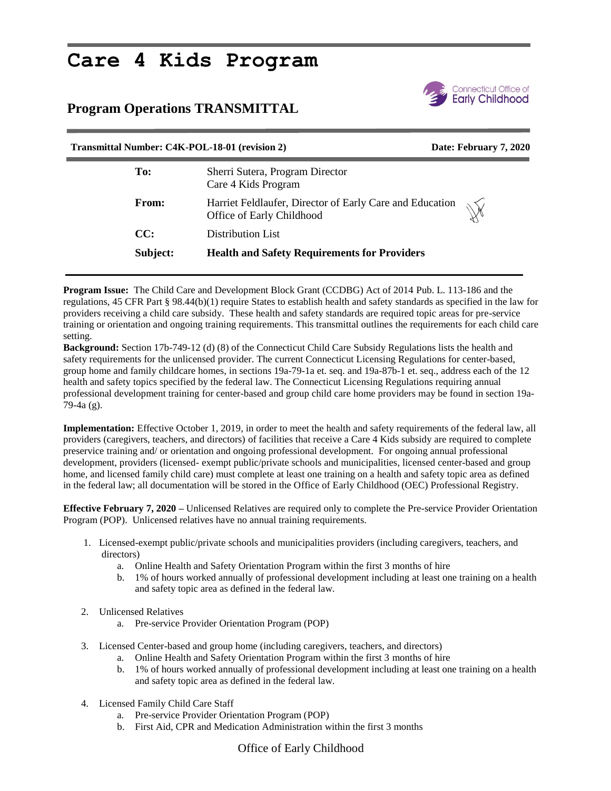## **Care 4 Kids Program**

## **Program Operations TRANSMITTAL**



## **Transmittal Number: C4K-POL-18-01 (revision 2) Date: February 7, 2020**

| To:          | Sherri Sutera, Program Director<br>Care 4 Kids Program                                                |
|--------------|-------------------------------------------------------------------------------------------------------|
| <b>From:</b> | Harriet Feldlaufer, Director of Early Care and Education<br>$\mathbb{W}$<br>Office of Early Childhood |
| CC:          | Distribution List                                                                                     |
| Subject:     | <b>Health and Safety Requirements for Providers</b>                                                   |

**Program Issue:** The Child Care and Development Block Grant (CCDBG) Act of 2014 Pub. L. 113-186 and the regulations, 45 CFR Part § 98.44(b)(1) require States to establish health and safety standards as specified in the law for providers receiving a child care subsidy. These health and safety standards are required topic areas for pre-service training or orientation and ongoing training requirements. This transmittal outlines the requirements for each child care setting.

**Background:** Section 17b-749-12 (d) (8) of the Connecticut Child Care Subsidy Regulations lists the health and safety requirements for the unlicensed provider. The current Connecticut Licensing Regulations for center-based, group home and family childcare homes, in sections 19a-79-1a et. seq. and 19a-87b-1 et. seq., address each of the 12 health and safety topics specified by the federal law. The Connecticut Licensing Regulations requiring annual professional development training for center-based and group child care home providers may be found in section 19a-79-4a (g).

**Implementation:** Effective October 1, 2019, in order to meet the health and safety requirements of the federal law, all providers (caregivers, teachers, and directors) of facilities that receive a Care 4 Kids subsidy are required to complete preservice training and/ or orientation and ongoing professional development. For ongoing annual professional development, providers (licensed- exempt public/private schools and municipalities, licensed center-based and group home, and licensed family child care) must complete at least one training on a health and safety topic area as defined in the federal law; all documentation will be stored in the Office of Early Childhood (OEC) Professional Registry.

**Effective February 7, 2020 –** Unlicensed Relatives are required only to complete the Pre-service Provider Orientation Program (POP). Unlicensed relatives have no annual training requirements.

- 1. Licensed-exempt public/private schools and municipalities providers (including caregivers, teachers, and directors)
	- a. Online Health and Safety Orientation Program within the first 3 months of hire
	- b. 1% of hours worked annually of professional development including at least one training on a health and safety topic area as defined in the federal law.
- 2. Unlicensed Relatives
	- a. Pre-service Provider Orientation Program (POP)
- 3. Licensed Center-based and group home (including caregivers, teachers, and directors)
	- a. Online Health and Safety Orientation Program within the first 3 months of hire
	- b. 1% of hours worked annually of professional development including at least one training on a health and safety topic area as defined in the federal law.
- 4. Licensed Family Child Care Staff
	- a. Pre-service Provider Orientation Program (POP)
	- b. First Aid, CPR and Medication Administration within the first 3 months

## Office of Early Childhood